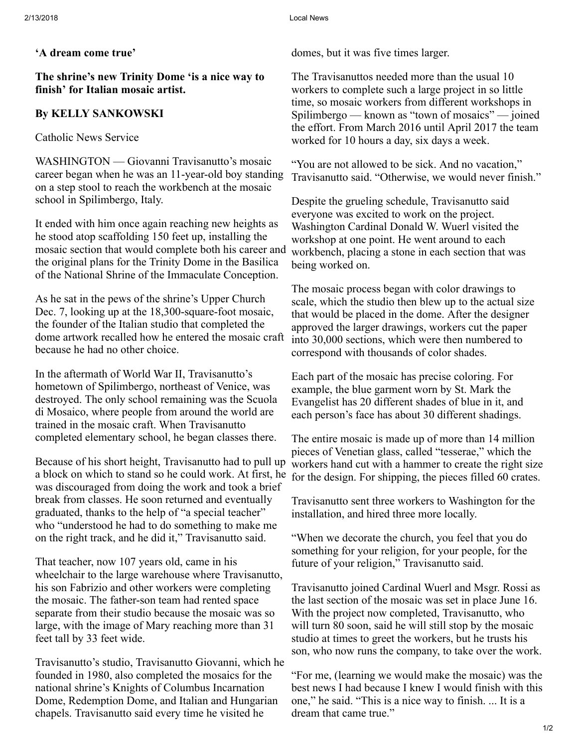'A dream come true'

The shrine's new Trinity Dome 'is a nice way to finish' for Italian mosaic artist.

## By KELLY SANKOWSKI

Catholic News Service

WASHINGTON — Giovanni Travisanutto's mosaic career began when he was an 11-year-old boy standing on a step stool to reach the workbench at the mosaic school in Spilimbergo, Italy.

It ended with him once again reaching new heights as he stood atop scaffolding 150 feet up, installing the mosaic section that would complete both his career and the original plans for the Trinity Dome in the Basilica of the National Shrine of the Immaculate Conception.

As he sat in the pews of the shrine's Upper Church Dec. 7, looking up at the 18,300-square-foot mosaic, the founder of the Italian studio that completed the dome artwork recalled how he entered the mosaic craft because he had no other choice.

In the aftermath of World War II, Travisanutto's hometown of Spilimbergo, northeast of Venice, was destroyed. The only school remaining was the Scuola di Mosaico, where people from around the world are trained in the mosaic craft. When Travisanutto completed elementary school, he began classes there.

Because of his short height, Travisanutto had to pull up a block on which to stand so he could work. At first, he was discouraged from doing the work and took a brief break from classes. He soon returned and eventually graduated, thanks to the help of "a special teacher" who "understood he had to do something to make me on the right track, and he did it," Travisanutto said.

That teacher, now 107 years old, came in his wheelchair to the large warehouse where Travisanutto, his son Fabrizio and other workers were completing the mosaic. The father-son team had rented space separate from their studio because the mosaic was so large, with the image of Mary reaching more than 31 feet tall by 33 feet wide.

Travisanutto's studio, Travisanutto Giovanni, which he founded in 1980, also completed the mosaics for the national shrine's Knights of Columbus Incarnation Dome, Redemption Dome, and Italian and Hungarian chapels. Travisanutto said every time he visited he

domes, but it was five times larger.

The Travisanuttos needed more than the usual 10 workers to complete such a large project in so little time, so mosaic workers from different workshops in Spilimbergo — known as "town of mosaics" — joined the effort. From March 2016 until April 2017 the team worked for 10 hours a day, six days a week.

"You are not allowed to be sick. And no vacation," Travisanutto said. "Otherwise, we would never finish."

Despite the grueling schedule, Travisanutto said everyone was excited to work on the project. Washington Cardinal Donald W. Wuerl visited the workshop at one point. He went around to each workbench, placing a stone in each section that was being worked on.

The mosaic process began with color drawings to scale, which the studio then blew up to the actual size that would be placed in the dome. After the designer approved the larger drawings, workers cut the paper into 30,000 sections, which were then numbered to correspond with thousands of color shades.

Each part of the mosaic has precise coloring. For example, the blue garment worn by St. Mark the Evangelist has 20 different shades of blue in it, and each person's face has about 30 different shadings.

The entire mosaic is made up of more than 14 million pieces of Venetian glass, called "tesserae," which the workers hand cut with a hammer to create the right size for the design. For shipping, the pieces filled 60 crates.

Travisanutto sent three workers to Washington for the installation, and hired three more locally.

"When we decorate the church, you feel that you do something for your religion, for your people, for the future of your religion," Travisanutto said.

Travisanutto joined Cardinal Wuerl and Msgr. Rossi as the last section of the mosaic was set in place June 16. With the project now completed, Travisanutto, who will turn 80 soon, said he will still stop by the mosaic studio at times to greet the workers, but he trusts his son, who now runs the company, to take over the work.

"For me, (learning we would make the mosaic) was the best news I had because I knew I would finish with this one," he said. "This is a nice way to finish. ... It is a dream that came true."